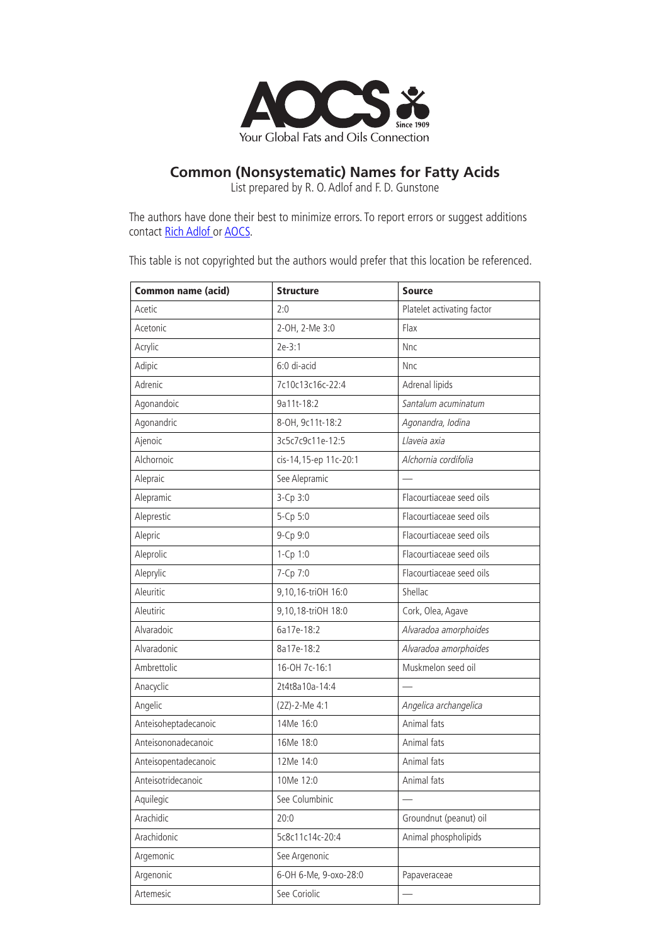

## **Common (Nonsystematic) Names for Fatty Acids**

List prepared by R. O. Adlof and F. D. Gunstone

The authors have done their best to minimize errors. To report errors or suggest additions contact Rich Adlof or AOCS.

This table is not copyrighted but the authors would prefer that this location be referenced.

| <b>Common name (acid)</b> | <b>Structure</b>      | <b>Source</b>              |
|---------------------------|-----------------------|----------------------------|
| Acetic                    | 2:0                   | Platelet activating factor |
| Acetonic                  | 2-OH, 2-Me 3:0        | Flax                       |
| Acrylic                   | $2e-3:1$              | Nnc                        |
| Adipic                    | 6:0 di-acid           | Nnc                        |
| Adrenic                   | 7c10c13c16c-22:4      | Adrenal lipids             |
| Agonandoic                | 9a11t-18:2            | Santalum acuminatum        |
| Agonandric                | 8-OH, 9c11t-18:2      | Agonandra, Iodina          |
| Ajenoic                   | 3c5c7c9c11e-12:5      | Llaveia axia               |
| Alchornoic                | cis-14,15-ep 11c-20:1 | Alchornia cordifolia       |
| Alepraic                  | See Alepramic         |                            |
| Alepramic                 | 3-Cp 3:0              | Flacourtiaceae seed oils   |
| Aleprestic                | 5-Cp 5:0              | Flacourtiaceae seed oils   |
| Alepric                   | 9-Cp 9:0              | Flacourtiaceae seed oils   |
| Aleprolic                 | 1-Cp 1:0              | Flacourtiaceae seed oils   |
| Aleprylic                 | 7-Cp 7:0              | Flacourtiaceae seed oils   |
| Aleuritic                 | 9,10,16-triOH 16:0    | Shellac                    |
| Aleutiric                 | 9,10,18-triOH 18:0    | Cork, Olea, Agave          |
| Alvaradoic                | 6a17e-18:2            | Alvaradoa amorphoides      |
| Alvaradonic               | 8a17e-18:2            | Alvaradoa amorphoides      |
| Ambrettolic               | 16-OH 7c-16:1         | Muskmelon seed oil         |
| Anacyclic                 | 2t4t8a10a-14:4        |                            |
| Angelic                   | (2Z)-2-Me 4:1         | Angelica archangelica      |
| Anteisoheptadecanoic      | 14Me 16:0             | Animal fats                |
| Anteisononadecanoic       | 16Me 18:0             | Animal fats                |
| Anteisopentadecanoic      | 12Me 14:0             | Animal fats                |
| Anteisotridecanoic        | 10Me 12:0             | Animal fats                |
| Aquilegic                 | See Columbinic        |                            |
| Arachidic                 | 20:0                  | Groundnut (peanut) oil     |
| Arachidonic               | 5c8c11c14c-20:4       | Animal phospholipids       |
| Argemonic                 | See Argenonic         |                            |
| Argenonic                 | 6-ОН 6-Ме, 9-охо-28:0 | Papaveraceae               |
| Artemesic                 | See Coriolic          | $\overline{\phantom{0}}$   |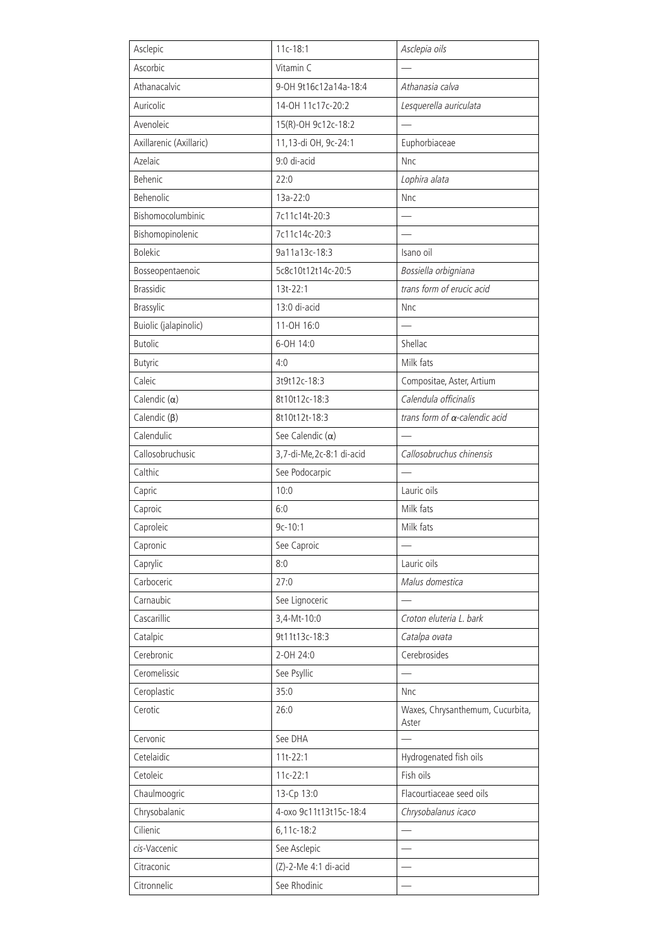| Asclepic                | $11c - 18:1$             | Asclepia oils                             |
|-------------------------|--------------------------|-------------------------------------------|
| Ascorbic                | Vitamin C                |                                           |
| Athanacalvic            | 9-OH 9t16c12a14a-18:4    | Athanasia calva                           |
| Auricolic               | 14-0H 11c17c-20:2        | Lesquerella auriculata                    |
| Avenoleic               | 15(R)-OH 9c12c-18:2      |                                           |
| Axillarenic (Axillaric) | 11,13-di OH, 9c-24:1     | Euphorbiaceae                             |
| Azelaic                 | 9:0 di-acid              | Nnc                                       |
| Behenic                 | 22:0                     | Lophira alata                             |
| Behenolic               | 13a-22:0                 | Nnc                                       |
| Bishomocolumbinic       | 7c11c14t-20:3            |                                           |
| Bishomopinolenic        | 7c11c14c-20:3            | $\overline{\phantom{0}}$                  |
| <b>Bolekic</b>          | 9a11a13c-18:3            | Isano oil                                 |
| Bosseopentaenoic        | 5c8c10t12t14c-20:5       | Bossiella orbigniana                      |
| <b>Brassidic</b>        | 13t-22:1                 | trans form of erucic acid                 |
| Brassylic               | 13:0 di-acid             | Nnc                                       |
| Buiolic (jalapinolic)   | 11-OH 16:0               |                                           |
| <b>Butolic</b>          | 6-OH 14:0                | Shellac                                   |
| Butyric                 | 4:0                      | Milk fats                                 |
| Caleic                  | 3t9t12c-18:3             | Compositae, Aster, Artium                 |
| Calendic $(\alpha)$     | 8t10t12c-18:3            | Calendula officinalis                     |
| Calendic $(\beta)$      | 8t10t12t-18:3            | trans form of a-calendic acid             |
| Calendulic              | See Calendic $(\alpha)$  |                                           |
| Callosobruchusic        | 3,7-di-Me,2c-8:1 di-acid | Callosobruchus chinensis                  |
| Calthic                 | See Podocarpic           |                                           |
| Capric                  | 10:0                     | Lauric oils                               |
| Caproic                 | 6:0                      | Milk fats                                 |
| Caproleic               | $9c-10:1$                | Milk fats                                 |
| Capronic                | See Caproic              |                                           |
| Caprylic                | 8:0                      | Lauric oils                               |
| Carboceric              | 27:0                     | Malus domestica                           |
| Carnaubic               | See Lignoceric           |                                           |
| Cascarillic             | 3,4-Mt-10:0              | Croton eluteria L. bark                   |
| Catalpic                | 9t11t13c-18:3            | Catalpa ovata                             |
| Cerebronic              | 2-OH 24:0                | Cerebrosides                              |
| Ceromelissic            | See Psyllic              |                                           |
| Ceroplastic             | 35:0                     | Nnc                                       |
| Cerotic                 | 26:0                     | Waxes, Chrysanthemum, Cucurbita,<br>Aster |
| Cervonic                | See DHA                  |                                           |
| Cetelaidic              | $11t-22:1$               | Hydrogenated fish oils                    |
| Cetoleic                | $11c-22:1$               | Fish oils                                 |
| Chaulmoogric            | 13-Cp 13:0               | Flacourtiaceae seed oils                  |
| Chrysobalanic           | 4-0x0 9c11t13t15c-18:4   | Chrysobalanus icaco                       |
| Cilienic                | 6,11c-18:2               | $\overline{\phantom{0}}$                  |
| cis-Vaccenic            | See Asclepic             |                                           |
| Citraconic              | (Z)-2-Me 4:1 di-acid     |                                           |
| Citronnelic             | See Rhodinic             |                                           |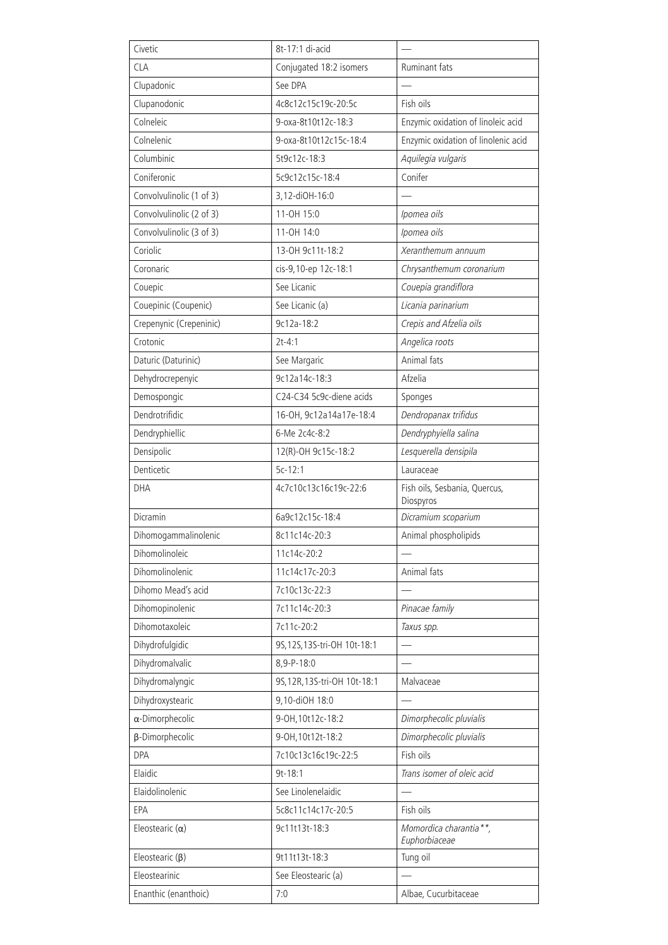| Civetic                  | 8t-17:1 di-acid              |                                            |
|--------------------------|------------------------------|--------------------------------------------|
| <b>CLA</b>               | Conjugated 18:2 isomers      | Ruminant fats                              |
| Clupadonic               | See DPA                      |                                            |
| Clupanodonic             | 4c8c12c15c19c-20:5c          | Fish oils                                  |
| Colneleic                | 9-oxa-8t10t12c-18:3          | Enzymic oxidation of linoleic acid         |
| Colnelenic               | 9-oxa-8t10t12c15c-18:4       | Enzymic oxidation of linolenic acid        |
| Columbinic               | 5t9c12c-18:3                 | Aquilegia vulgaris                         |
| Coniferonic              | 5c9c12c15c-18:4              | Conifer                                    |
| Convolvulinolic (1 of 3) | 3,12-diOH-16:0               |                                            |
| Convolvulinolic (2 of 3) | 11-OH 15:0                   | Ipomea oils                                |
| Convolvulinolic (3 of 3) | 11-OH 14:0                   | Ipomea oils                                |
| Coriolic                 | 13-0H 9c11t-18:2             | Xeranthemum annuum                         |
| Coronaric                | cis-9,10-ep 12c-18:1         | Chrysanthemum coronarium                   |
| Couepic                  | See Licanic                  | Couepia grandiflora                        |
| Couepinic (Coupenic)     | See Licanic (a)              | Licania parinarium                         |
| Crepenynic (Crepeninic)  | 9c12a-18:2                   | Crepis and Afzelia oils                    |
| Crotonic                 | $2t - 4:1$                   | Angelica roots                             |
| Daturic (Daturinic)      | See Margaric                 | Animal fats                                |
| Dehydrocrepenyic         | 9c12a14c-18:3                | Afzelia                                    |
| Demospongic              | C24-C34 5c9c-diene acids     | Sponges                                    |
| Dendrotrifidic           | 16-OH, 9c12a14a17e-18:4      | Dendropanax trifidus                       |
| Dendryphiellic           | 6-Me 2c4c-8:2                | Dendryphyiella salina                      |
| Densipolic               | 12(R)-OH 9c15c-18:2          | Lesquerella densipila                      |
| Denticetic               | $5c-12:1$                    | Lauraceae                                  |
| <b>DHA</b>               | 4c7c10c13c16c19c-22:6        | Fish oils, Sesbania, Quercus,<br>Diospyros |
| Dicramin                 | 6a9c12c15c-18:4              | Dicramium scoparium                        |
| Dihomogammalinolenic     | 8c11c14c-20:3                | Animal phospholipids                       |
| Dihomolinoleic           | 11c14c-20:2                  |                                            |
| Dihomolinolenic          | 11c14c17c-20:3               | Animal fats                                |
| Dihomo Mead's acid       | 7c10c13c-22:3                |                                            |
| Dihomopinolenic          | 7c11c14c-20:3                | Pinacae family                             |
| Dihomotaxoleic           | 7c11c-20:2                   | Taxus spp.                                 |
| Dihydrofulgidic          | 9S, 12S, 13S-tri-OH 10t-18:1 |                                            |
| Dihydromalvalic          | 8,9-P-18:0                   |                                            |
| Dihydromalyngic          | 9S, 12R, 13S-tri-OH 10t-18:1 | Malvaceae                                  |
| Dihydroxystearic         | 9,10-diOH 18:0               |                                            |
| $\alpha$ -Dimorphecolic  | 9-OH, 10t12c-18:2            | Dimorphecolic pluvialis                    |
| β-Dimorphecolic          | 9-0H, 10t12t-18:2            | Dimorphecolic pluvialis                    |
| DPA                      | 7c10c13c16c19c-22:5          | Fish oils                                  |
| Elaidic                  | $9t - 18:1$                  | Trans isomer of oleic acid                 |
| Elaidolinolenic          | See Linolenelaidic           |                                            |
| EPA                      | 5c8c11c14c17c-20:5           | Fish oils                                  |
| Eleostearic $(\alpha)$   | 9c11t13t-18:3                | Momordica charantia**,<br>Euphorbiaceae    |
| Eleostearic $(\beta)$    | 9t11t13t-18:3                | Tung oil                                   |
| Eleostearinic            | See Eleostearic (a)          |                                            |
| Enanthic (enanthoic)     | 7:0                          | Albae, Cucurbitaceae                       |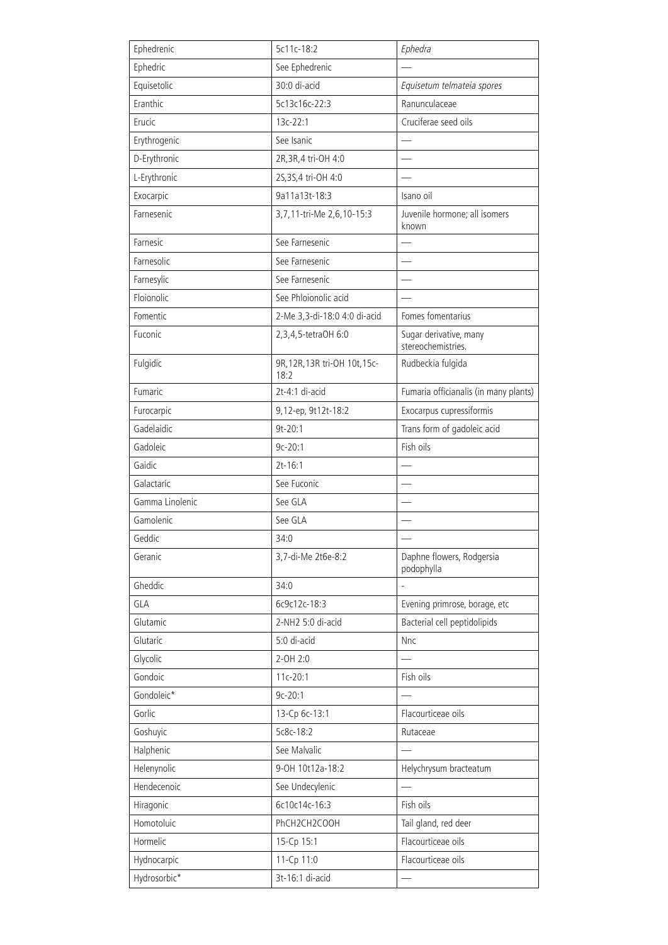| Ephedrenic      | 5c11c-18:2                            | Ephedra                                      |
|-----------------|---------------------------------------|----------------------------------------------|
| Ephedric        | See Ephedrenic                        |                                              |
| Equisetolic     | 30:0 di-acid                          | Equisetum telmateia spores                   |
| Eranthic        | 5c13c16c-22:3                         | Ranunculaceae                                |
| Erucic          | 13c-22:1                              | Cruciferae seed oils                         |
| Erythrogenic    | See Isanic                            |                                              |
| D-Erythronic    | 2R, 3R, 4 tri-OH 4:0                  |                                              |
| L-Erythronic    | 2S, 3S, 4 tri-OH 4:0                  |                                              |
| Exocarpic       | 9a11a13t-18:3                         | Isano oil                                    |
| Farnesenic      | 3,7,11-tri-Me 2,6,10-15:3             | Juvenile hormone; all isomers<br>known       |
| Farnesic        | See Farnesenic                        |                                              |
| Farnesolic      | See Farnesenic                        |                                              |
| Farnesylic      | See Farnesenic                        |                                              |
| Floionolic      | See Phloionolic acid                  |                                              |
| Fomentic        | 2-Me 3,3-di-18:0 4:0 di-acid          | Fomes fomentarius                            |
| Fuconic         | 2,3,4,5-tetraOH 6:0                   | Sugar derivative, many<br>stereochemistries. |
| Fulgidic        | 9R, 12R, 13R tri-OH 10t, 15c-<br>18:2 | Rudbeckia fulgida                            |
| Fumaric         | 2t-4:1 di-acid                        | Fumaria officianalis (in many plants)        |
| Furocarpic      | 9,12-ep, 9t12t-18:2                   | Exocarpus cupressiformis                     |
| Gadelaidic      | $9t-20:1$                             | Trans form of gadoleic acid                  |
| Gadoleic        | $9c-20:1$                             | Fish oils                                    |
| Gaidic          | $2t - 16:1$                           |                                              |
| Galactaric      | See Fuconic                           |                                              |
| Gamma Linolenic | See GLA                               |                                              |
| Gamolenic       | See GLA                               |                                              |
| Geddic          | 34:0                                  |                                              |
| Geranic         | 3,7-di-Me 2t6e-8:2                    | Daphne flowers, Rodgersia<br>podophylla      |
| Gheddic         | 34:0                                  |                                              |
| GLA             | 6c9c12c-18:3                          | Evening primrose, borage, etc                |
| Glutamic        | 2-NH2 5:0 di-acid                     | Bacterial cell peptidolipids                 |
| Glutaric        | 5:0 di-acid                           | <b>Nnc</b>                                   |
| Glycolic        | 2-OH 2:0                              |                                              |
| Gondoic         | $11c-20:1$                            | Fish oils                                    |
| Gondoleic*      | $9c-20:1$                             |                                              |
| Gorlic          | 13-Cp 6c-13:1                         | Flacourticeae oils                           |
| Goshuyic        | 5c8c-18:2                             | Rutaceae                                     |
| Halphenic       | See Malvalic                          |                                              |
| Helenynolic     | 9-0H 10t12a-18:2                      | Helychrysum bracteatum                       |
| Hendecenoic     | See Undecylenic                       |                                              |
| Hiragonic       | 6c10c14c-16:3                         | Fish oils                                    |
| Homotoluic      | PhCH2CH2COOH                          | Tail gland, red deer                         |
| Hormelic        | 15-Cp 15:1                            | Flacourticeae oils                           |
| Hydnocarpic     | 11-Cp 11:0                            | Flacourticeae oils                           |
| Hydrosorbic*    | 3t-16:1 di-acid                       |                                              |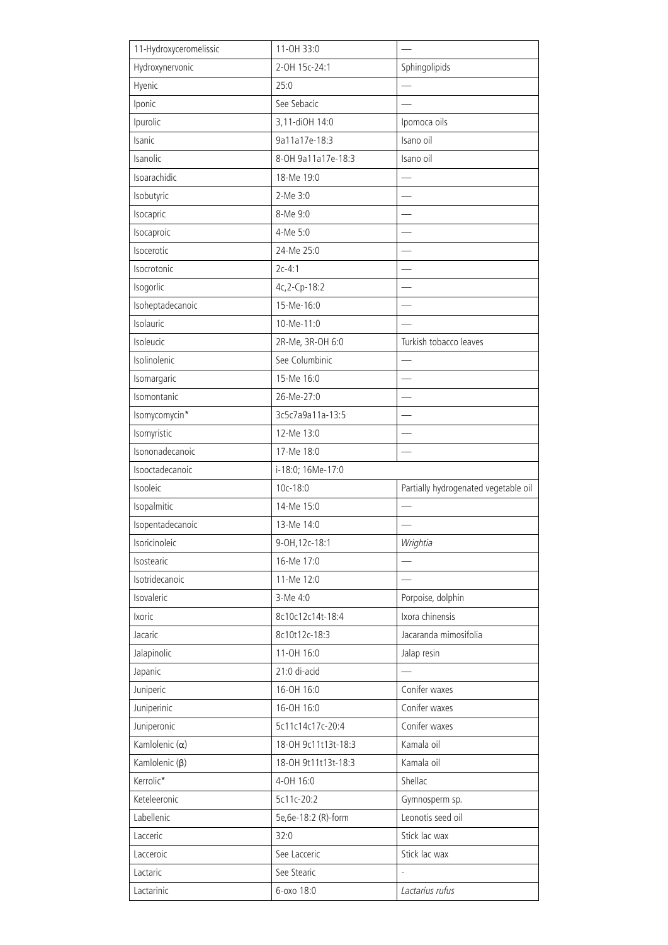| 11-Hydroxyceromelissic | 11-OH 33:0                |                                             |
|------------------------|---------------------------|---------------------------------------------|
| Hydroxynervonic        | 2-OH 15c-24:1             | Sphingolipids                               |
| Hyenic                 | 25:0                      |                                             |
| Iponic                 | See Sebacic               |                                             |
| Ipurolic               | 3,11-diOH 14:0            | Ipomoca oils                                |
| Isanic                 | 9a11a17e-18:3             | Isano oil                                   |
| Isanolic               | 8-OH 9a11a17e-18:3        | Isano oil                                   |
| Isoarachidic           | 18-Me 19:0                |                                             |
| Isobutyric             | 2-Me 3:0                  |                                             |
| Isocapric              | 8-Me 9:0                  |                                             |
| Isocaproic             | 4-Me 5:0                  |                                             |
| Isocerotic             | 24-Me 25:0                |                                             |
| Isocrotonic            | $2c-4:1$                  |                                             |
| Isogorlic              | 4c, 2-Cp-18:2             |                                             |
| Isoheptadecanoic       | 15-Me-16:0                |                                             |
| Isolauric              | 10-Me-11:0                |                                             |
| Isoleucic              | 2R-Me, 3R-OH 6:0          | Turkish tobacco leaves                      |
| Isolinolenic           | See Columbinic            |                                             |
| Isomargaric            | 15-Me 16:0                |                                             |
| Isomontanic            | 26-Me-27:0                |                                             |
| Isomycomycin*          | 3c5c7a9a11a-13:5          |                                             |
| Isomyristic            | 12-Me 13:0                |                                             |
| Isononadecanoic        | 17-Me 18:0                |                                             |
| Isooctadecanoic        | i-18:0; 16Me-17:0         |                                             |
| Isooleic               | 10c-18:0                  | Partially hydrogenated vegetable oil        |
| Isopalmitic            | 14-Me 15:0                |                                             |
| Isopentadecanoic       | 13-Me 14:0                |                                             |
| Isoricinoleic          | 9-0H, 12c-18:1            | Wrightia                                    |
| Isostearic             | 16-Me 17:0                |                                             |
| Isotridecanoic         | 11-Me 12:0                |                                             |
| Isovaleric             | 3-Me 4:0                  | Porpoise, dolphin                           |
| Ixoric                 | 8c10c12c14t-18:4          | Ixora chinensis                             |
| Jacaric                | 8c10t12c-18:3             | Jacaranda mimosifolia                       |
| Jalapinolic            | 11-OH 16:0                | Jalap resin                                 |
| Japanic                | 21:0 di-acid              |                                             |
| Juniperic              | 16-0H 16:0                | Conifer waxes                               |
| Juniperinic            | 16-0H 16:0                | Conifer waxes                               |
| Juniperonic            | 5c11c14c17c-20:4          | Conifer waxes                               |
| Kamlolenic $(\alpha)$  | 18-0H 9c11t13t-18:3       | Kamala oil                                  |
| Kamlolenic (β)         | 18-0H 9t11t13t-18:3       | Kamala oil                                  |
| Kerrolic*              | 4-OH 16:0                 | Shellac                                     |
| Keteleeronic           | 5c11c-20:2                | Gymnosperm sp.                              |
| Labellenic             | 5e, 6e-18:2 (R)-form      | Leonotis seed oil                           |
|                        |                           |                                             |
| Lacceric               | 32:0                      | Stick lac wax                               |
| Lacceroic              | See Lacceric              | Stick lac wax                               |
| Lactaric<br>Lactarinic | See Stearic<br>6-0x0 18:0 | $\overline{\phantom{0}}$<br>Lactarius rufus |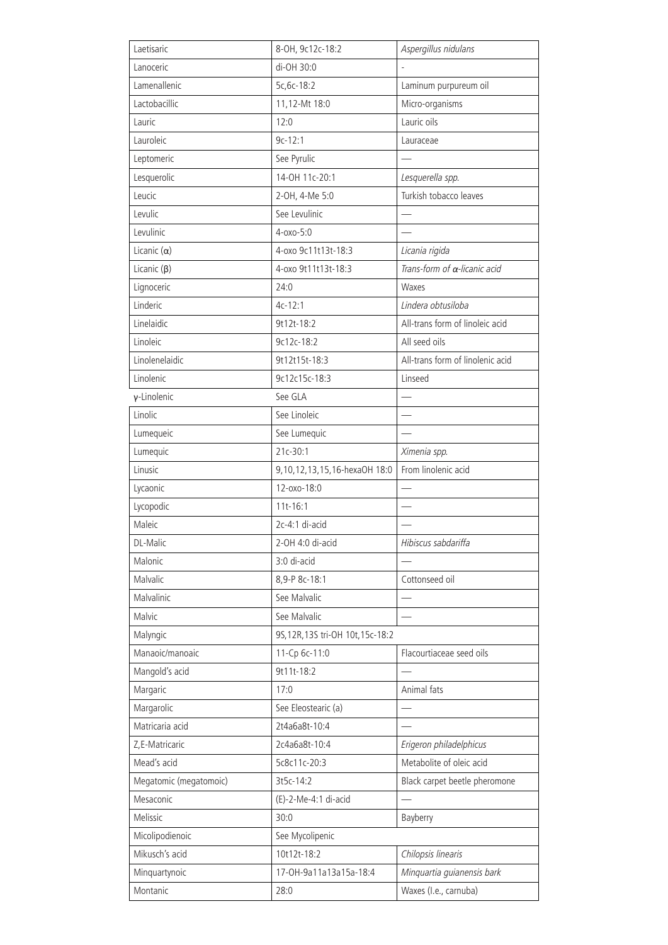| Laetisaric             | 8-OH, 9c12c-18:2                  | Aspergillus nidulans                 |
|------------------------|-----------------------------------|--------------------------------------|
| Lanoceric              | di-OH 30:0                        |                                      |
| Lamenallenic           | 5c, 6c-18:2                       | Laminum purpureum oil                |
| Lactobacillic          | 11,12-Mt 18:0                     | Micro-organisms                      |
| Lauric                 | 12:0                              | Lauric oils                          |
| Lauroleic              | $9c-12:1$                         | Lauraceae                            |
| Leptomeric             | See Pyrulic                       |                                      |
| Lesquerolic            | 14-0H 11c-20:1                    | Lesquerella spp.                     |
| Leucic                 | 2-OH, 4-Me 5:0                    | Turkish tobacco leaves               |
| Levulic                | See Levulinic                     |                                      |
| Levulinic              | 4-oxo-5:0                         | $\overline{\phantom{0}}$             |
| Licanic $(\alpha)$     | 4-0x0 9c11t13t-18:3               | Licania rigida                       |
| Licanic $(\beta)$      | 4-0x0 9t11t13t-18:3               | Trans-form of $\alpha$ -licanic acid |
| Lignoceric             | 24:0                              | Waxes                                |
| Linderic               | $4c-12:1$                         | Lindera obtusiloba                   |
| Linelaidic             | 9t12t-18:2                        | All-trans form of linoleic acid      |
| Linoleic               | 9c12c-18:2                        | All seed oils                        |
| Linolenelaidic         | 9t12t15t-18:3                     | All-trans form of linolenic acid     |
| Linolenic              | 9c12c15c-18:3                     | Linseed                              |
| γ-Linolenic            | See GLA                           |                                      |
| Linolic                | See Linoleic                      |                                      |
| Lumequeic              | See Lumequic                      |                                      |
| Lumequic               | 21c-30:1                          | Ximenia spp.                         |
| Linusic                | 9,10,12,13,15,16-hexaOH 18:0      | From linolenic acid                  |
| Lycaonic               | 12-oxo-18:0                       |                                      |
| Lycopodic              | $11t-16:1$                        |                                      |
| Maleic                 | 2c-4:1 di-acid                    |                                      |
| DL-Malic               | 2-OH 4:0 di-acid                  | Hibiscus sabdariffa                  |
| Malonic                | 3:0 di-acid                       |                                      |
| Malvalic               | 8,9-P 8c-18:1                     | Cottonseed oil                       |
| Malvalinic             | See Malvalic                      |                                      |
| Malvic                 | See Malvalic                      |                                      |
| Malyngic               | 9S, 12R, 13S tri-OH 10t, 15c-18:2 |                                      |
| Manaoic/manoaic        | 11-Cp 6c-11:0                     | Flacourtiaceae seed oils             |
| Mangold's acid         | 9t11t-18:2                        |                                      |
| Margaric               | 17:0                              | Animal fats                          |
| Margarolic             | See Eleostearic (a)               |                                      |
| Matricaria acid        | 2t4a6a8t-10:4                     |                                      |
| Z, E-Matricaric        | 2c4a6a8t-10:4                     | Erigeron philadelphicus              |
| Mead's acid            | 5c8c11c-20:3                      | Metabolite of oleic acid             |
| Megatomic (megatomoic) | 3t5c-14:2                         | Black carpet beetle pheromone        |
| Mesaconic              | (E)-2-Me-4:1 di-acid              |                                      |
| Melissic               | 30:0                              | Bayberry                             |
| Micolipodienoic        | See Mycolipenic                   |                                      |
| Mikusch's acid         | 10t12t-18:2                       | Chilopsis linearis                   |
| Minquartynoic          | 17-OH-9a11a13a15a-18:4            | Minquartia guianensis bark           |
| Montanic               | 28:0                              | Waxes (I.e., carnuba)                |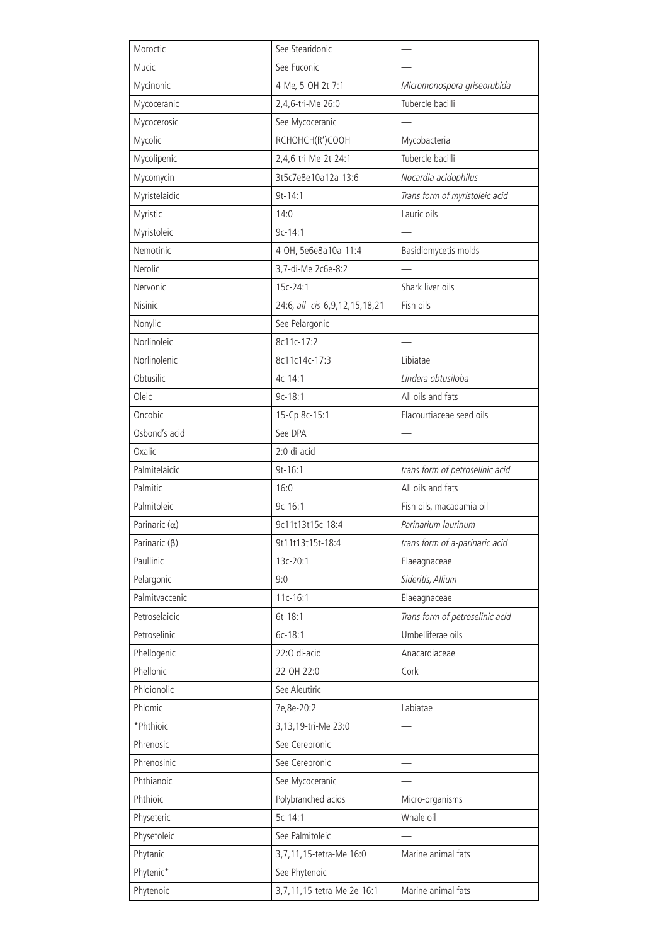| Moroctic             | See Stearidonic                     |                                 |
|----------------------|-------------------------------------|---------------------------------|
| Mucic                | See Fuconic                         |                                 |
| Mycinonic            | 4-Me, 5-OH 2t-7:1                   | Micromonospora griseorubida     |
| Mycoceranic          | 2,4,6-tri-Me 26:0                   | Tubercle bacilli                |
| Mycocerosic          | See Mycoceranic                     |                                 |
| Mycolic              | RCHOHCH(R')COOH                     | Mycobacteria                    |
| Mycolipenic          | 2,4,6-tri-Me-2t-24:1                | Tubercle bacilli                |
| Mycomycin            | 3t5c7e8e10a12a-13:6                 | Nocardia acidophilus            |
| Myristelaidic        | $9t - 14:1$                         | Trans form of myristoleic acid  |
| Myristic             | 14:0                                | Lauric oils                     |
| Myristoleic          | $9c-14:1$                           |                                 |
| Nemotinic            | 4-OH, 5e6e8a10a-11:4                | Basidiomycetis molds            |
| Nerolic              | 3,7-di-Me 2c6e-8:2                  |                                 |
| Nervonic             | 15c-24:1                            | Shark liver oils                |
| <b>Nisinic</b>       | 24:6, all- cis-6, 9, 12, 15, 18, 21 | Fish oils                       |
| Nonylic              | See Pelargonic                      |                                 |
| Norlinoleic          | 8c11c-17:2                          |                                 |
| Norlinolenic         | 8c11c14c-17:3                       | Libiatae                        |
| Obtusilic            | $4c - 14:1$                         | Lindera obtusiloba              |
| Oleic                | $9c-18:1$                           | All oils and fats               |
| Oncobic              | 15-Cp 8c-15:1                       | Flacourtiaceae seed oils        |
| Osbond's acid        | See DPA                             |                                 |
| Oxalic               | 2:0 di-acid                         |                                 |
| Palmitelaidic        | $9t - 16:1$                         | trans form of petroselinic acid |
| Palmitic             | 16:0                                | All oils and fats               |
| Palmitoleic          | $9c-16:1$                           | Fish oils, macadamia oil        |
| Parinaric $(\alpha)$ | 9c11t13t15c-18:4                    | Parinarium laurinum             |
| Parinaric (B)        | 9t11t13t15t-18:4                    | trans form of a-parinaric acid  |
| Paullinic            | 13c-20:1                            | Elaeagnaceae                    |
| Pelargonic           | 9:0                                 | Sideritis, Allium               |
| Palmitvaccenic       | $11c - 16:1$                        | Elaeagnaceae                    |
| Petroselaidic        | 6t-18:1                             | Trans form of petroselinic acid |
| Petroselinic         | 6c-18:1                             | Umbelliferae oils               |
| Phellogenic          | 22:0 di-acid                        | Anacardiaceae                   |
| Phellonic            | 22-OH 22:0                          | Cork                            |
| Phloionolic          | See Aleutiric                       |                                 |
| Phlomic              | 7e, 8e-20:2                         | Labiatae                        |
| *Phthioic            | 3,13,19-tri-Me 23:0                 |                                 |
| Phrenosic            | See Cerebronic                      |                                 |
| Phrenosinic          | See Cerebronic                      |                                 |
| Phthianoic           | See Mycoceranic                     |                                 |
| Phthioic             | Polybranched acids                  | Micro-organisms                 |
| Physeteric           | $5c-14:1$                           | Whale oil                       |
| Physetoleic          | See Palmitoleic                     |                                 |
| Phytanic             | 3,7,11,15-tetra-Me 16:0             | Marine animal fats              |
| Phytenic*            | See Phytenoic                       |                                 |
| Phytenoic            | 3,7,11,15-tetra-Me 2e-16:1          | Marine animal fats              |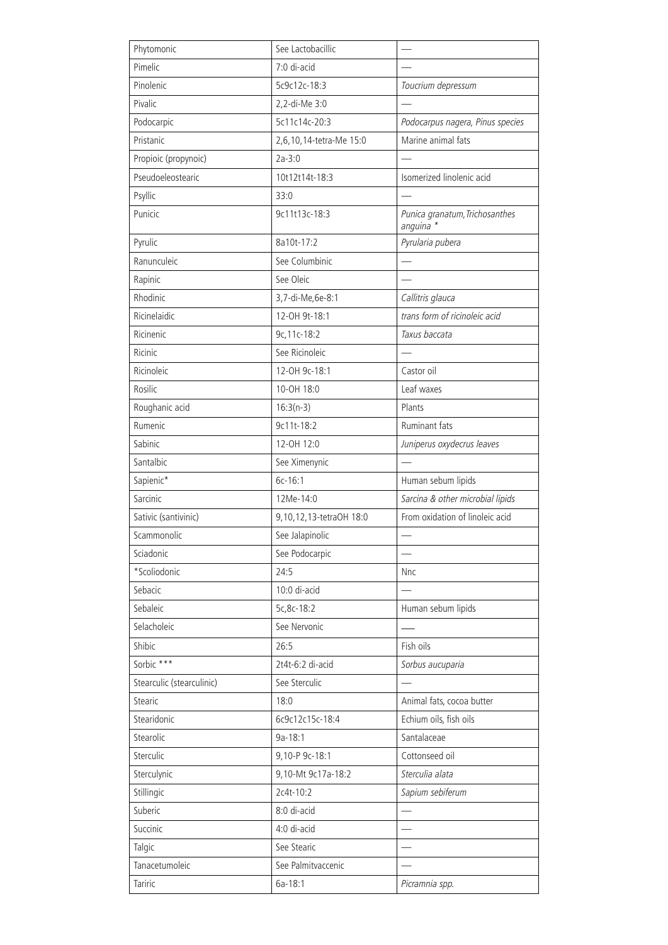| Pimelic<br>7:0 di-acid<br>Pinolenic<br>5c9c12c-18:3<br>Toucrium depressum<br>Pivalic<br>2,2-di-Me 3:0<br>Podocarpic<br>5c11c14c-20:3<br>Podocarpus nagera, Pinus species<br>Marine animal fats<br>Pristanic<br>2,6,10,14-tetra-Me 15:0<br>$2a-3:0$<br>Propioic (propynoic)<br>Pseudoeleostearic<br>Isomerized linolenic acid<br>10t12t14t-18:3<br>Psyllic<br>33:0<br>Punicic<br>9c11t13c-18:3<br>Punica granatum, Trichosanthes<br>anguina *<br>Pyrulic<br>8a10t-17:2<br>Pyrularia pubera<br>Ranunculeic<br>See Columbinic<br>See Oleic<br>Rapinic<br>Rhodinic<br>3,7-di-Me,6e-8:1<br>Callitris glauca<br>trans form of ricinoleic acid<br>Ricinelaidic<br>12-OH 9t-18:1<br>Taxus baccata<br>Ricinenic<br>9c, 11c-18:2<br>Ricinic<br>See Ricinoleic<br>Castor oil<br>Ricinoleic<br>12-OH 9c-18:1<br>Rosilic<br>Leaf waxes<br>10-0H 18:0<br>Roughanic acid<br>Plants<br>$16:3(n-3)$<br>Ruminant fats<br>Rumenic<br>9c11t-18:2<br>Sabinic<br>12-OH 12:0<br>Juniperus oxydecrus leaves<br>Santalbic<br>See Ximenynic<br>Sapienic*<br>$6c-16:1$<br>Human sebum lipids<br>Sarcinic<br>Sarcina & other microbial lipids<br>12Me-14:0 |
|--------------------------------------------------------------------------------------------------------------------------------------------------------------------------------------------------------------------------------------------------------------------------------------------------------------------------------------------------------------------------------------------------------------------------------------------------------------------------------------------------------------------------------------------------------------------------------------------------------------------------------------------------------------------------------------------------------------------------------------------------------------------------------------------------------------------------------------------------------------------------------------------------------------------------------------------------------------------------------------------------------------------------------------------------------------------------------------------------------------------------------|
|                                                                                                                                                                                                                                                                                                                                                                                                                                                                                                                                                                                                                                                                                                                                                                                                                                                                                                                                                                                                                                                                                                                                |
|                                                                                                                                                                                                                                                                                                                                                                                                                                                                                                                                                                                                                                                                                                                                                                                                                                                                                                                                                                                                                                                                                                                                |
|                                                                                                                                                                                                                                                                                                                                                                                                                                                                                                                                                                                                                                                                                                                                                                                                                                                                                                                                                                                                                                                                                                                                |
|                                                                                                                                                                                                                                                                                                                                                                                                                                                                                                                                                                                                                                                                                                                                                                                                                                                                                                                                                                                                                                                                                                                                |
|                                                                                                                                                                                                                                                                                                                                                                                                                                                                                                                                                                                                                                                                                                                                                                                                                                                                                                                                                                                                                                                                                                                                |
|                                                                                                                                                                                                                                                                                                                                                                                                                                                                                                                                                                                                                                                                                                                                                                                                                                                                                                                                                                                                                                                                                                                                |
|                                                                                                                                                                                                                                                                                                                                                                                                                                                                                                                                                                                                                                                                                                                                                                                                                                                                                                                                                                                                                                                                                                                                |
|                                                                                                                                                                                                                                                                                                                                                                                                                                                                                                                                                                                                                                                                                                                                                                                                                                                                                                                                                                                                                                                                                                                                |
|                                                                                                                                                                                                                                                                                                                                                                                                                                                                                                                                                                                                                                                                                                                                                                                                                                                                                                                                                                                                                                                                                                                                |
|                                                                                                                                                                                                                                                                                                                                                                                                                                                                                                                                                                                                                                                                                                                                                                                                                                                                                                                                                                                                                                                                                                                                |
|                                                                                                                                                                                                                                                                                                                                                                                                                                                                                                                                                                                                                                                                                                                                                                                                                                                                                                                                                                                                                                                                                                                                |
|                                                                                                                                                                                                                                                                                                                                                                                                                                                                                                                                                                                                                                                                                                                                                                                                                                                                                                                                                                                                                                                                                                                                |
|                                                                                                                                                                                                                                                                                                                                                                                                                                                                                                                                                                                                                                                                                                                                                                                                                                                                                                                                                                                                                                                                                                                                |
|                                                                                                                                                                                                                                                                                                                                                                                                                                                                                                                                                                                                                                                                                                                                                                                                                                                                                                                                                                                                                                                                                                                                |
|                                                                                                                                                                                                                                                                                                                                                                                                                                                                                                                                                                                                                                                                                                                                                                                                                                                                                                                                                                                                                                                                                                                                |
|                                                                                                                                                                                                                                                                                                                                                                                                                                                                                                                                                                                                                                                                                                                                                                                                                                                                                                                                                                                                                                                                                                                                |
|                                                                                                                                                                                                                                                                                                                                                                                                                                                                                                                                                                                                                                                                                                                                                                                                                                                                                                                                                                                                                                                                                                                                |
|                                                                                                                                                                                                                                                                                                                                                                                                                                                                                                                                                                                                                                                                                                                                                                                                                                                                                                                                                                                                                                                                                                                                |
|                                                                                                                                                                                                                                                                                                                                                                                                                                                                                                                                                                                                                                                                                                                                                                                                                                                                                                                                                                                                                                                                                                                                |
|                                                                                                                                                                                                                                                                                                                                                                                                                                                                                                                                                                                                                                                                                                                                                                                                                                                                                                                                                                                                                                                                                                                                |
|                                                                                                                                                                                                                                                                                                                                                                                                                                                                                                                                                                                                                                                                                                                                                                                                                                                                                                                                                                                                                                                                                                                                |
|                                                                                                                                                                                                                                                                                                                                                                                                                                                                                                                                                                                                                                                                                                                                                                                                                                                                                                                                                                                                                                                                                                                                |
|                                                                                                                                                                                                                                                                                                                                                                                                                                                                                                                                                                                                                                                                                                                                                                                                                                                                                                                                                                                                                                                                                                                                |
|                                                                                                                                                                                                                                                                                                                                                                                                                                                                                                                                                                                                                                                                                                                                                                                                                                                                                                                                                                                                                                                                                                                                |
| From oxidation of linoleic acid<br>Sativic (santivinic)<br>9,10,12,13-tetraOH 18:0                                                                                                                                                                                                                                                                                                                                                                                                                                                                                                                                                                                                                                                                                                                                                                                                                                                                                                                                                                                                                                             |
| Scammonolic<br>See Jalapinolic                                                                                                                                                                                                                                                                                                                                                                                                                                                                                                                                                                                                                                                                                                                                                                                                                                                                                                                                                                                                                                                                                                 |
| Sciadonic<br>See Podocarpic                                                                                                                                                                                                                                                                                                                                                                                                                                                                                                                                                                                                                                                                                                                                                                                                                                                                                                                                                                                                                                                                                                    |
| *Scoliodonic<br>24:5<br>Nnc                                                                                                                                                                                                                                                                                                                                                                                                                                                                                                                                                                                                                                                                                                                                                                                                                                                                                                                                                                                                                                                                                                    |
| 10:0 di-acid<br>Sebacic                                                                                                                                                                                                                                                                                                                                                                                                                                                                                                                                                                                                                                                                                                                                                                                                                                                                                                                                                                                                                                                                                                        |
| Sebaleic<br>Human sebum lipids<br>5c, 8c-18:2                                                                                                                                                                                                                                                                                                                                                                                                                                                                                                                                                                                                                                                                                                                                                                                                                                                                                                                                                                                                                                                                                  |
| Selacholeic<br>See Nervonic                                                                                                                                                                                                                                                                                                                                                                                                                                                                                                                                                                                                                                                                                                                                                                                                                                                                                                                                                                                                                                                                                                    |
| Shibic<br>26:5<br>Fish oils                                                                                                                                                                                                                                                                                                                                                                                                                                                                                                                                                                                                                                                                                                                                                                                                                                                                                                                                                                                                                                                                                                    |
| Sorbic ***<br>2t4t-6:2 di-acid<br>Sorbus aucuparia                                                                                                                                                                                                                                                                                                                                                                                                                                                                                                                                                                                                                                                                                                                                                                                                                                                                                                                                                                                                                                                                             |
| Stearculic (stearculinic)<br>See Sterculic<br>$\equiv$                                                                                                                                                                                                                                                                                                                                                                                                                                                                                                                                                                                                                                                                                                                                                                                                                                                                                                                                                                                                                                                                         |
| Stearic<br>Animal fats, cocoa butter<br>18:0                                                                                                                                                                                                                                                                                                                                                                                                                                                                                                                                                                                                                                                                                                                                                                                                                                                                                                                                                                                                                                                                                   |
| Echium oils, fish oils<br>Stearidonic<br>6c9c12c15c-18:4                                                                                                                                                                                                                                                                                                                                                                                                                                                                                                                                                                                                                                                                                                                                                                                                                                                                                                                                                                                                                                                                       |
| Santalaceae<br>Stearolic<br>$9a-18:1$                                                                                                                                                                                                                                                                                                                                                                                                                                                                                                                                                                                                                                                                                                                                                                                                                                                                                                                                                                                                                                                                                          |
| Sterculic<br>9,10-P 9c-18:1<br>Cottonseed oil                                                                                                                                                                                                                                                                                                                                                                                                                                                                                                                                                                                                                                                                                                                                                                                                                                                                                                                                                                                                                                                                                  |
| Sterculynic<br>Sterculia alata<br>9,10-Mt 9c17a-18:2                                                                                                                                                                                                                                                                                                                                                                                                                                                                                                                                                                                                                                                                                                                                                                                                                                                                                                                                                                                                                                                                           |
| 2c4t-10:2<br>Stillingic<br>Sapium sebiferum                                                                                                                                                                                                                                                                                                                                                                                                                                                                                                                                                                                                                                                                                                                                                                                                                                                                                                                                                                                                                                                                                    |
| Suberic<br>8:0 di-acid                                                                                                                                                                                                                                                                                                                                                                                                                                                                                                                                                                                                                                                                                                                                                                                                                                                                                                                                                                                                                                                                                                         |
| Succinic<br>4:0 di-acid                                                                                                                                                                                                                                                                                                                                                                                                                                                                                                                                                                                                                                                                                                                                                                                                                                                                                                                                                                                                                                                                                                        |
| See Stearic<br>Talgic                                                                                                                                                                                                                                                                                                                                                                                                                                                                                                                                                                                                                                                                                                                                                                                                                                                                                                                                                                                                                                                                                                          |
| Tanacetumoleic<br>See Palmitvaccenic                                                                                                                                                                                                                                                                                                                                                                                                                                                                                                                                                                                                                                                                                                                                                                                                                                                                                                                                                                                                                                                                                           |
| Tariric<br>6a-18:1<br>Picramnia spp.                                                                                                                                                                                                                                                                                                                                                                                                                                                                                                                                                                                                                                                                                                                                                                                                                                                                                                                                                                                                                                                                                           |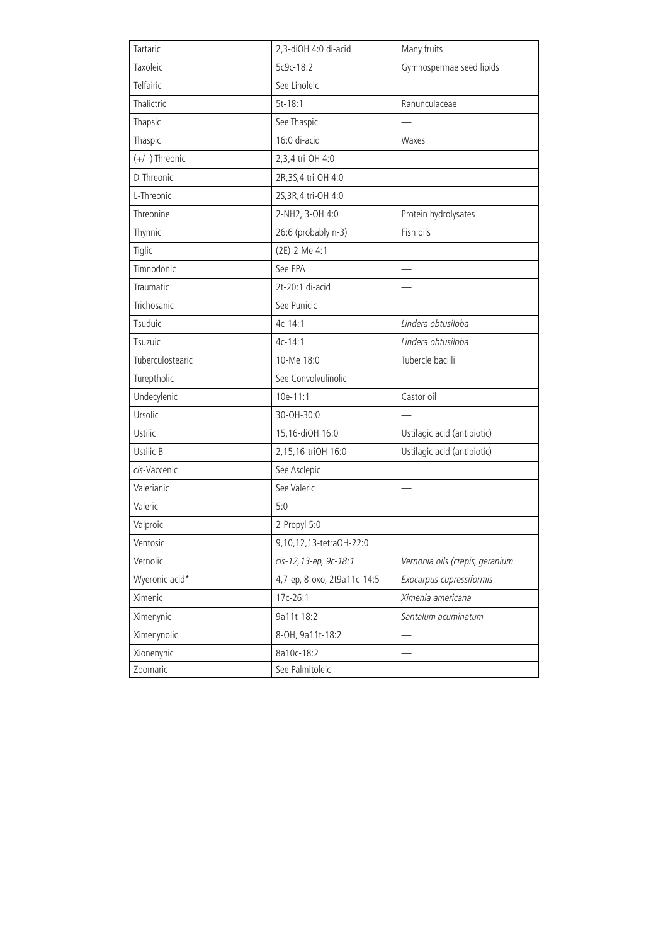| Tartaric         | 2,3-diOH 4:0 di-acid        | Many fruits                     |
|------------------|-----------------------------|---------------------------------|
| Taxoleic         | 5c9c-18:2                   | Gymnospermae seed lipids        |
| Telfairic        | See Linoleic                |                                 |
| Thalictric       | $5t-18:1$                   | Ranunculaceae                   |
| Thapsic          | See Thaspic                 |                                 |
| Thaspic          | 16:0 di-acid                | Waxes                           |
| (+/-) Threonic   | 2,3,4 tri-OH 4:0            |                                 |
| D-Threonic       | 2R, 3S, 4 tri-OH 4:0        |                                 |
| L-Threonic       | 2S, 3R, 4 tri-OH 4:0        |                                 |
| Threonine        | 2-NH2, 3-OH 4:0             | Protein hydrolysates            |
| Thynnic          | 26:6 (probably n-3)         | Fish oils                       |
| Tiglic           | (2E)-2-Me 4:1               |                                 |
| Timnodonic       | See EPA                     |                                 |
| Traumatic        | 2t-20:1 di-acid             |                                 |
| Trichosanic      | See Punicic                 |                                 |
| Tsuduic          | $4c-14:1$                   | Lindera obtusiloba              |
| Tsuzuic          | $4c - 14:1$                 | Lindera obtusiloba              |
| Tuberculostearic | 10-Me 18:0                  | Tubercle bacilli                |
| Tureptholic      | See Convolvulinolic         |                                 |
| Undecylenic      | 10e-11:1                    | Castor oil                      |
| Ursolic          | 30-OH-30:0                  |                                 |
| Ustilic          | 15,16-diOH 16:0             | Ustilagic acid (antibiotic)     |
| Ustilic B        | 2,15,16-triOH 16:0          | Ustilagic acid (antibiotic)     |
| cis-Vaccenic     | See Asclepic                |                                 |
| Valerianic       | See Valeric                 |                                 |
| Valeric          | 5:0                         |                                 |
| Valproic         | 2-Propyl 5:0                |                                 |
| Ventosic         | 9,10,12,13-tetraOH-22:0     |                                 |
| Vernolic         | cis-12, 13-ep, 9c-18:1      | Vernonia oils (crepis, geranium |
| Wyeronic acid*   | 4,7-ep, 8-oxo, 2t9a11c-14:5 | Exocarpus cupressiformis        |
| Ximenic          | 17c-26:1                    | Ximenia americana               |
| Ximenynic        | 9a11t-18:2                  | Santalum acuminatum             |
| Ximenynolic      | 8-OH, 9a11t-18:2            |                                 |
| Xionenynic       | 8a10c-18:2                  |                                 |
| Zoomaric         | See Palmitoleic             |                                 |